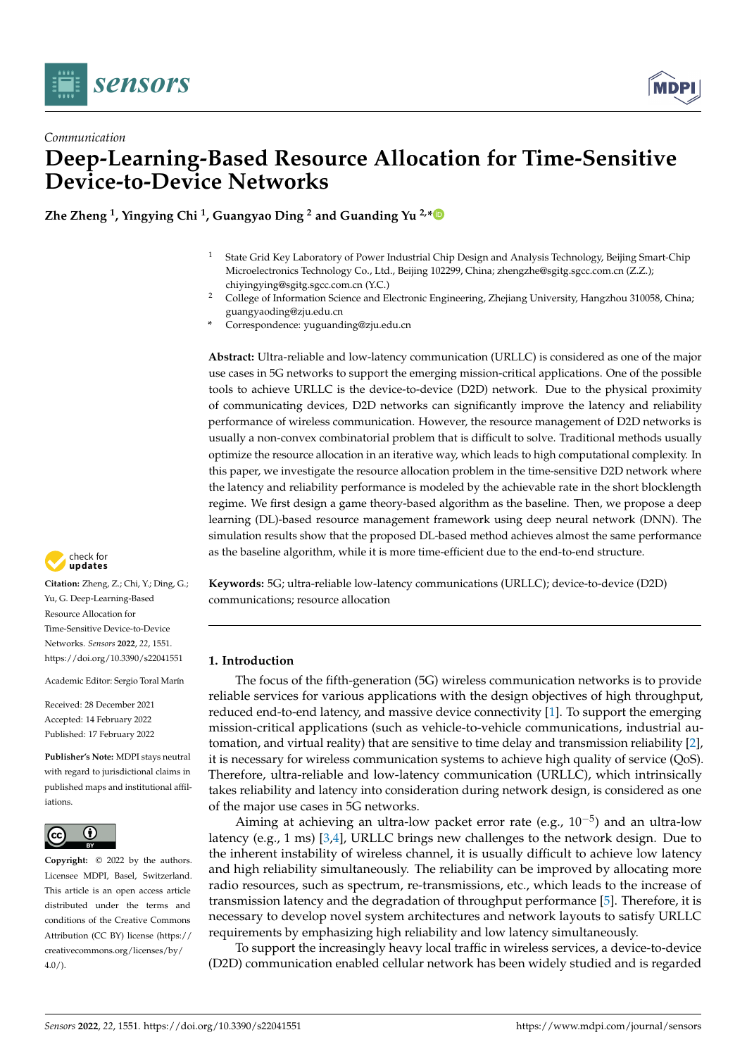



# *Communication* **Deep-Learning-Based Resource Allocation for Time-Sensitive Device-to-Device Networks**

**Zhe Zheng <sup>1</sup> , Yingying Chi <sup>1</sup> , Guangyao Ding <sup>2</sup> and Guanding Yu 2,[\\*](https://orcid.org/0000-0001-7296-1490)**

- <sup>1</sup> State Grid Key Laboratory of Power Industrial Chip Design and Analysis Technology, Beijing Smart-Chip Microelectronics Technology Co., Ltd., Beijing 102299, China; zhengzhe@sgitg.sgcc.com.cn (Z.Z.); chiyingying@sgitg.sgcc.com.cn (Y.C.)
- <sup>2</sup> College of Information Science and Electronic Engineering, Zhejiang University, Hangzhou 310058, China; guangyaoding@zju.edu.cn
- **\*** Correspondence: yuguanding@zju.edu.cn

**Abstract:** Ultra-reliable and low-latency communication (URLLC) is considered as one of the major use cases in 5G networks to support the emerging mission-critical applications. One of the possible tools to achieve URLLC is the device-to-device (D2D) network. Due to the physical proximity of communicating devices, D2D networks can significantly improve the latency and reliability performance of wireless communication. However, the resource management of D2D networks is usually a non-convex combinatorial problem that is difficult to solve. Traditional methods usually optimize the resource allocation in an iterative way, which leads to high computational complexity. In this paper, we investigate the resource allocation problem in the time-sensitive D2D network where the latency and reliability performance is modeled by the achievable rate in the short blocklength regime. We first design a game theory-based algorithm as the baseline. Then, we propose a deep learning (DL)-based resource management framework using deep neural network (DNN). The simulation results show that the proposed DL-based method achieves almost the same performance as the baseline algorithm, while it is more time-efficient due to the end-to-end structure.

check for **-**

**Citation:** Zheng, Z.; Chi, Y.; Ding, G.; Yu, G. Deep-Learning-Based Resource Allocation for Time-Sensitive Device-to-Device Networks. *Sensors* **2022**, *22*, 1551. <https://doi.org/10.3390/s22041551>

Academic Editor: Sergio Toral Marín

Received: 28 December 2021 Accepted: 14 February 2022 Published: 17 February 2022

**Publisher's Note:** MDPI stays neutral with regard to jurisdictional claims in published maps and institutional affiliations.



**Copyright:** © 2022 by the authors. Licensee MDPI, Basel, Switzerland. This article is an open access article distributed under the terms and conditions of the Creative Commons Attribution (CC BY) license [\(https://](https://creativecommons.org/licenses/by/4.0/) [creativecommons.org/licenses/by/](https://creativecommons.org/licenses/by/4.0/)  $4.0/$ ).

**Keywords:** 5G; ultra-reliable low-latency communications (URLLC); device-to-device (D2D) communications; resource allocation

## **1. Introduction**

The focus of the fifth-generation (5G) wireless communication networks is to provide reliable services for various applications with the design objectives of high throughput, reduced end-to-end latency, and massive device connectivity [\[1\]](#page-11-0). To support the emerging mission-critical applications (such as vehicle-to-vehicle communications, industrial automation, and virtual reality) that are sensitive to time delay and transmission reliability [\[2\]](#page-11-1), it is necessary for wireless communication systems to achieve high quality of service (QoS). Therefore, ultra-reliable and low-latency communication (URLLC), which intrinsically takes reliability and latency into consideration during network design, is considered as one of the major use cases in 5G networks.

Aiming at achieving an ultra-low packet error rate (e.g., 10−<sup>5</sup> ) and an ultra-low latency (e.g., 1 ms) [\[3](#page-11-2)[,4\]](#page-11-3), URLLC brings new challenges to the network design. Due to the inherent instability of wireless channel, it is usually difficult to achieve low latency and high reliability simultaneously. The reliability can be improved by allocating more radio resources, such as spectrum, re-transmissions, etc., which leads to the increase of transmission latency and the degradation of throughput performance [\[5\]](#page-11-4). Therefore, it is necessary to develop novel system architectures and network layouts to satisfy URLLC requirements by emphasizing high reliability and low latency simultaneously.

To support the increasingly heavy local traffic in wireless services, a device-to-device (D2D) communication enabled cellular network has been widely studied and is regarded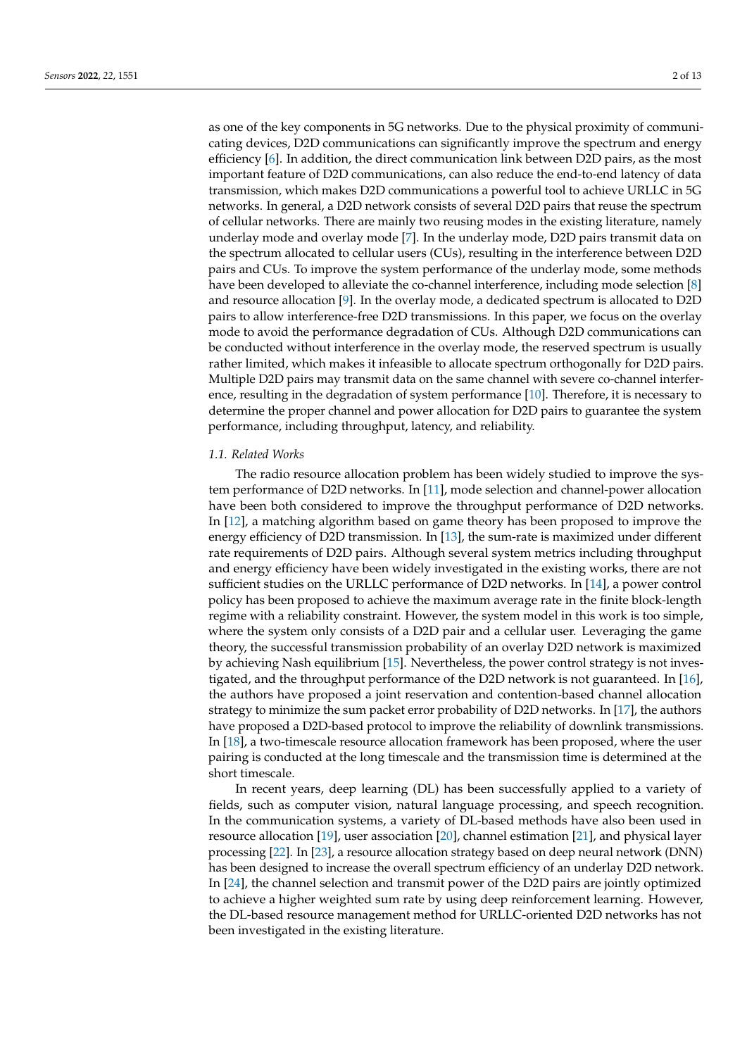as one of the key components in 5G networks. Due to the physical proximity of communicating devices, D2D communications can significantly improve the spectrum and energy efficiency [\[6\]](#page-12-0). In addition, the direct communication link between D2D pairs, as the most important feature of D2D communications, can also reduce the end-to-end latency of data transmission, which makes D2D communications a powerful tool to achieve URLLC in 5G networks. In general, a D2D network consists of several D2D pairs that reuse the spectrum of cellular networks. There are mainly two reusing modes in the existing literature, namely underlay mode and overlay mode [\[7\]](#page-12-1). In the underlay mode, D2D pairs transmit data on the spectrum allocated to cellular users (CUs), resulting in the interference between D2D pairs and CUs. To improve the system performance of the underlay mode, some methods have been developed to alleviate the co-channel interference, including mode selection [\[8\]](#page-12-2) and resource allocation [\[9\]](#page-12-3). In the overlay mode, a dedicated spectrum is allocated to D2D pairs to allow interference-free D2D transmissions. In this paper, we focus on the overlay mode to avoid the performance degradation of CUs. Although D2D communications can be conducted without interference in the overlay mode, the reserved spectrum is usually rather limited, which makes it infeasible to allocate spectrum orthogonally for D2D pairs. Multiple D2D pairs may transmit data on the same channel with severe co-channel interference, resulting in the degradation of system performance [\[10\]](#page-12-4). Therefore, it is necessary to determine the proper channel and power allocation for D2D pairs to guarantee the system performance, including throughput, latency, and reliability.

#### *1.1. Related Works*

The radio resource allocation problem has been widely studied to improve the system performance of D2D networks. In [\[11\]](#page-12-5), mode selection and channel-power allocation have been both considered to improve the throughput performance of D2D networks. In [\[12\]](#page-12-6), a matching algorithm based on game theory has been proposed to improve the energy efficiency of D2D transmission. In [\[13\]](#page-12-7), the sum-rate is maximized under different rate requirements of D2D pairs. Although several system metrics including throughput and energy efficiency have been widely investigated in the existing works, there are not sufficient studies on the URLLC performance of D2D networks. In [\[14\]](#page-12-8), a power control policy has been proposed to achieve the maximum average rate in the finite block-length regime with a reliability constraint. However, the system model in this work is too simple, where the system only consists of a D2D pair and a cellular user. Leveraging the game theory, the successful transmission probability of an overlay D2D network is maximized by achieving Nash equilibrium [\[15\]](#page-12-9). Nevertheless, the power control strategy is not investigated, and the throughput performance of the D2D network is not guaranteed. In [\[16\]](#page-12-10), the authors have proposed a joint reservation and contention-based channel allocation strategy to minimize the sum packet error probability of D2D networks. In [\[17\]](#page-12-11), the authors have proposed a D2D-based protocol to improve the reliability of downlink transmissions. In [\[18\]](#page-12-12), a two-timescale resource allocation framework has been proposed, where the user pairing is conducted at the long timescale and the transmission time is determined at the short timescale.

In recent years, deep learning (DL) has been successfully applied to a variety of fields, such as computer vision, natural language processing, and speech recognition. In the communication systems, a variety of DL-based methods have also been used in resource allocation [\[19\]](#page-12-13), user association [\[20\]](#page-12-14), channel estimation [\[21\]](#page-12-15), and physical layer processing [\[22\]](#page-12-16). In [\[23\]](#page-12-17), a resource allocation strategy based on deep neural network (DNN) has been designed to increase the overall spectrum efficiency of an underlay D2D network. In [\[24\]](#page-12-18), the channel selection and transmit power of the D2D pairs are jointly optimized to achieve a higher weighted sum rate by using deep reinforcement learning. However, the DL-based resource management method for URLLC-oriented D2D networks has not been investigated in the existing literature.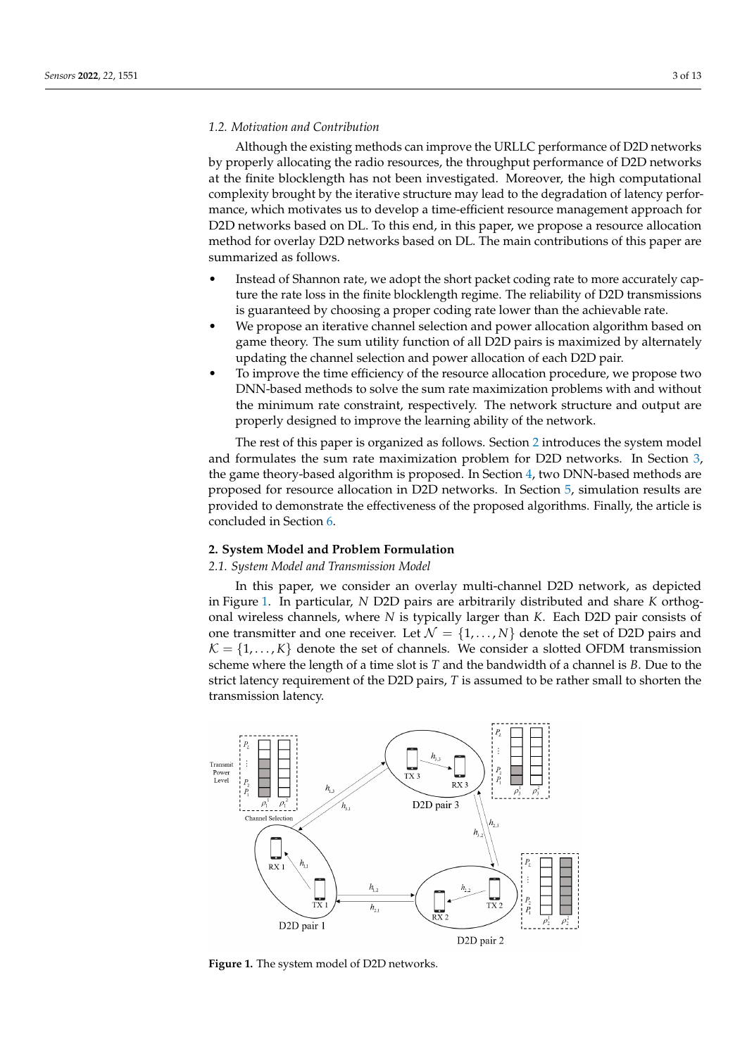Although the existing methods can improve the URLLC performance of D2D networks by properly allocating the radio resources, the throughput performance of D2D networks at the finite blocklength has not been investigated. Moreover, the high computational complexity brought by the iterative structure may lead to the degradation of latency performance, which motivates us to develop a time-efficient resource management approach for D2D networks based on DL. To this end, in this paper, we propose a resource allocation method for overlay D2D networks based on DL. The main contributions of this paper are summarized as follows.

- Instead of Shannon rate, we adopt the short packet coding rate to more accurately capture the rate loss in the finite blocklength regime. The reliability of D2D transmissions is guaranteed by choosing a proper coding rate lower than the achievable rate.
- We propose an iterative channel selection and power allocation algorithm based on game theory. The sum utility function of all D2D pairs is maximized by alternately updating the channel selection and power allocation of each D2D pair.
- To improve the time efficiency of the resource allocation procedure, we propose two DNN-based methods to solve the sum rate maximization problems with and without the minimum rate constraint, respectively. The network structure and output are properly designed to improve the learning ability of the network.

The rest of this paper is organized as follows. Section [2](#page-2-0) introduces the system model and formulates the sum rate maximization problem for D2D networks. In Section [3,](#page-4-0) the game theory-based algorithm is proposed. In Section [4,](#page-6-0) two DNN-based methods are proposed for resource allocation in D2D networks. In Section [5,](#page-8-0) simulation results are provided to demonstrate the effectiveness of the proposed algorithms. Finally, the article is concluded in Section [6.](#page-11-5)

#### <span id="page-2-0"></span>**2. System Model and Problem Formulation**

#### *2.1. System Model and Transmission Model*

In this paper, we consider an overlay multi-channel D2D network, as depicted in Figure [1.](#page-2-1) In particular, *N* D2D pairs are arbitrarily distributed and share *K* orthogonal wireless channels, where *N* is typically larger than *K*. Each D2D pair consists of one transmitter and one receiver. Let  $\mathcal{N} = \{1, \ldots, N\}$  denote the set of D2D pairs and  $\mathcal{K} = \{1, \ldots, K\}$  denote the set of channels. We consider a slotted OFDM transmission scheme where the length of a time slot is *T* and the bandwidth of a channel is *B*. Due to the strict latency requirement of the D2D pairs, *T* is assumed to be rather small to shorten the transmission latency.

<span id="page-2-1"></span>

**Figure 1.** The system model of D2D networks.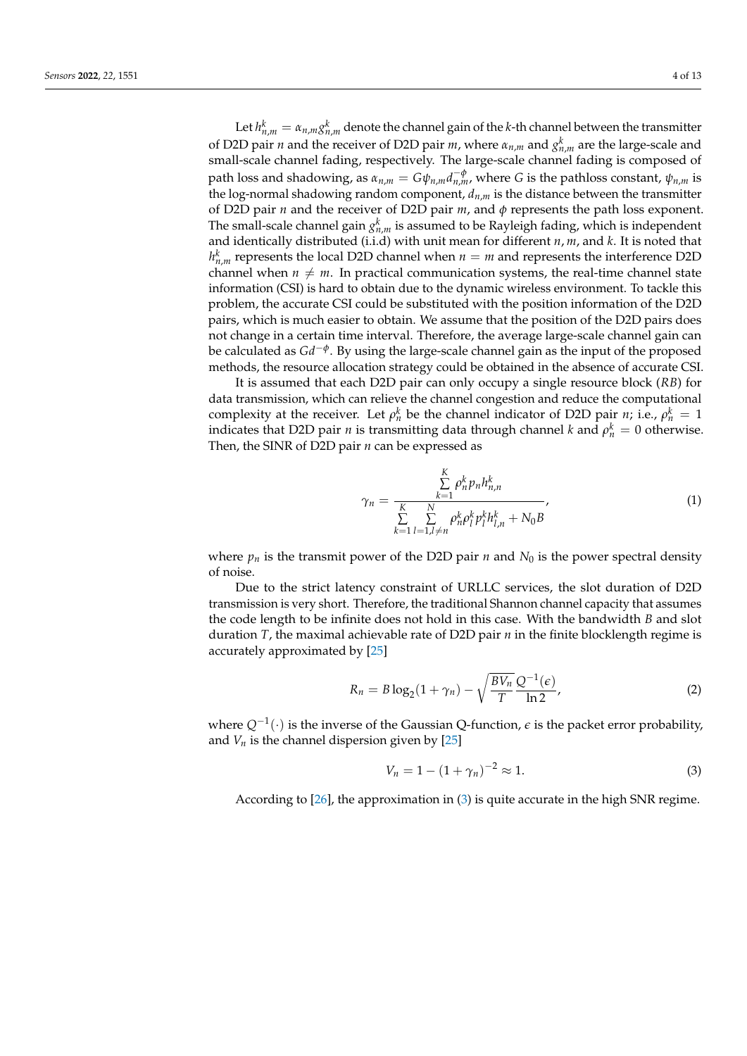Let  $h_{n,m}^k = \alpha_{n,m} g_{n,m}^k$  denote the channel gain of the *k*-th channel between the transmitter of D2D pair *n* and the receiver of D2D pair *m*, where *αn*,*<sup>m</sup>* and *g k <sup>n</sup>*,*<sup>m</sup>* are the large-scale and small-scale channel fading, respectively. The large-scale channel fading is composed of path loss and shadowing, as  $\alpha_{n,m} = G \psi_{n,m} d_{n,m}^{-\phi}$ , where *G* is the pathloss constant,  $\psi_{n,m}$  is the log-normal shadowing random component, *dn*,*<sup>m</sup>* is the distance between the transmitter of D2D pair *n* and the receiver of D2D pair *m*, and *φ* represents the path loss exponent. The small-scale channel gain  $g^k_{n,m}$  is assumed to be Rayleigh fading, which is independent and identically distributed (i.i.d) with unit mean for different *n*, *m*, and *k*. It is noted that  $h_{n,m}^k$  represents the local D2D channel when  $n = m$  and represents the interference D2D channel when  $n \neq m$ . In practical communication systems, the real-time channel state information (CSI) is hard to obtain due to the dynamic wireless environment. To tackle this problem, the accurate CSI could be substituted with the position information of the D2D pairs, which is much easier to obtain. We assume that the position of the D2D pairs does not change in a certain time interval. Therefore, the average large-scale channel gain can be calculated as *Gd*−*<sup>φ</sup>* . By using the large-scale channel gain as the input of the proposed methods, the resource allocation strategy could be obtained in the absence of accurate CSI.

It is assumed that each D2D pair can only occupy a single resource block (*RB*) for data transmission, which can relieve the channel congestion and reduce the computational complexity at the receiver. Let  $\rho_n^k$  be the channel indicator of D2D pair *n*; i.e.,  $\rho_n^k = 1$ indicates that D2D pair *n* is transmitting data through channel *k* and  $\rho_n^k = 0$  otherwise. Then, the SINR of D2D pair *n* can be expressed as

$$
\gamma_n = \frac{\sum_{k=1}^K \rho_n^k p_n h_{n,n}^k}{\sum_{k=1}^K \sum_{l=1, l \neq n}^N \rho_n^k \rho_l^k p_l^k h_{l,n}^k + N_0 B},\tag{1}
$$

where  $p_n$  is the transmit power of the D2D pair  $n$  and  $N_0$  is the power spectral density of noise.

Due to the strict latency constraint of URLLC services, the slot duration of D2D transmission is very short. Therefore, the traditional Shannon channel capacity that assumes the code length to be infinite does not hold in this case. With the bandwidth *B* and slot duration *T*, the maximal achievable rate of D2D pair *n* in the finite blocklength regime is accurately approximated by [\[25\]](#page-12-19)

$$
R_n = B \log_2(1 + \gamma_n) - \sqrt{\frac{BV_n}{T}} \frac{Q^{-1}(\epsilon)}{\ln 2},\tag{2}
$$

where *Q*−<sup>1</sup> (·) is the inverse of the Gaussian Q-function, *e* is the packet error probability, and  $V_n$  is the channel dispersion given by  $[25]$ 

<span id="page-3-0"></span>
$$
V_n = 1 - (1 + \gamma_n)^{-2} \approx 1.
$$
 (3)

According to [\[26\]](#page-12-20), the approximation in [\(3\)](#page-3-0) is quite accurate in the high SNR regime.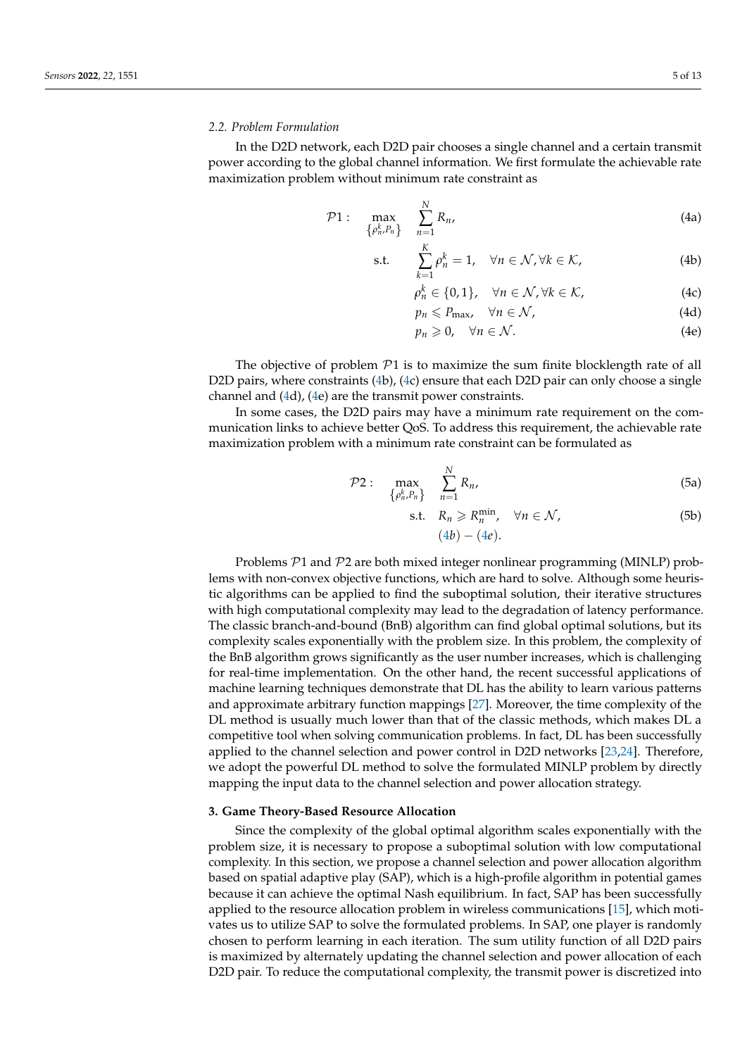#### *2.2. Problem Formulation*

In the D2D network, each D2D pair chooses a single channel and a certain transmit power according to the global channel information. We first formulate the achievable rate maximization problem without minimum rate constraint as

$$
\mathcal{P}1: \max_{\left\{\rho_n^k, P_n\right\}} \sum_{n=1}^N R_n,\tag{4a}
$$

$$
\text{s.t.} \qquad \sum_{k=1}^{K} \rho_n^k = 1, \quad \forall n \in \mathcal{N}, \forall k \in \mathcal{K}, \tag{4b}
$$

$$
\rho_n^k \in \{0, 1\}, \quad \forall n \in \mathcal{N}, \forall k \in \mathcal{K}, \tag{4c}
$$

<span id="page-4-1"></span>
$$
p_n \leq P_{\text{max}}, \quad \forall n \in \mathcal{N}, \tag{4d}
$$

$$
p_n \geqslant 0, \quad \forall n \in \mathcal{N}.\tag{4e}
$$

The objective of problem  $P_1$  is to maximize the sum finite blocklength rate of all D2D pairs, where constraints [\(4b](#page-4-1)), [\(4c](#page-4-1)) ensure that each D2D pair can only choose a single channel and [\(4d](#page-4-1)), [\(4e](#page-4-1)) are the transmit power constraints.

In some cases, the D2D pairs may have a minimum rate requirement on the communication links to achieve better QoS. To address this requirement, the achievable rate maximization problem with a minimum rate constraint can be formulated as

$$
\mathcal{P}2: \max_{\left\{\rho_n^k, P_n\right\}} \sum_{n=1}^N R_n,\tag{5a}
$$

s.t. 
$$
R_n \ge R_n^{\min}
$$
,  $\forall n \in \mathcal{N}$ ,  
\n $(4b) - (4e)$ . (5b)

Problems P1 and P2 are both mixed integer nonlinear programming (MINLP) problems with non-convex objective functions, which are hard to solve. Although some heuristic algorithms can be applied to find the suboptimal solution, their iterative structures with high computational complexity may lead to the degradation of latency performance. The classic branch-and-bound (BnB) algorithm can find global optimal solutions, but its complexity scales exponentially with the problem size. In this problem, the complexity of the BnB algorithm grows significantly as the user number increases, which is challenging for real-time implementation. On the other hand, the recent successful applications of machine learning techniques demonstrate that DL has the ability to learn various patterns and approximate arbitrary function mappings [\[27\]](#page-12-21). Moreover, the time complexity of the DL method is usually much lower than that of the classic methods, which makes DL a competitive tool when solving communication problems. In fact, DL has been successfully applied to the channel selection and power control in D2D networks [\[23,](#page-12-17)[24\]](#page-12-18). Therefore, we adopt the powerful DL method to solve the formulated MINLP problem by directly mapping the input data to the channel selection and power allocation strategy.

#### <span id="page-4-0"></span>**3. Game Theory-Based Resource Allocation**

Since the complexity of the global optimal algorithm scales exponentially with the problem size, it is necessary to propose a suboptimal solution with low computational complexity. In this section, we propose a channel selection and power allocation algorithm based on spatial adaptive play (SAP), which is a high-profile algorithm in potential games because it can achieve the optimal Nash equilibrium. In fact, SAP has been successfully applied to the resource allocation problem in wireless communications [\[15\]](#page-12-9), which motivates us to utilize SAP to solve the formulated problems. In SAP, one player is randomly chosen to perform learning in each iteration. The sum utility function of all D2D pairs is maximized by alternately updating the channel selection and power allocation of each D2D pair. To reduce the computational complexity, the transmit power is discretized into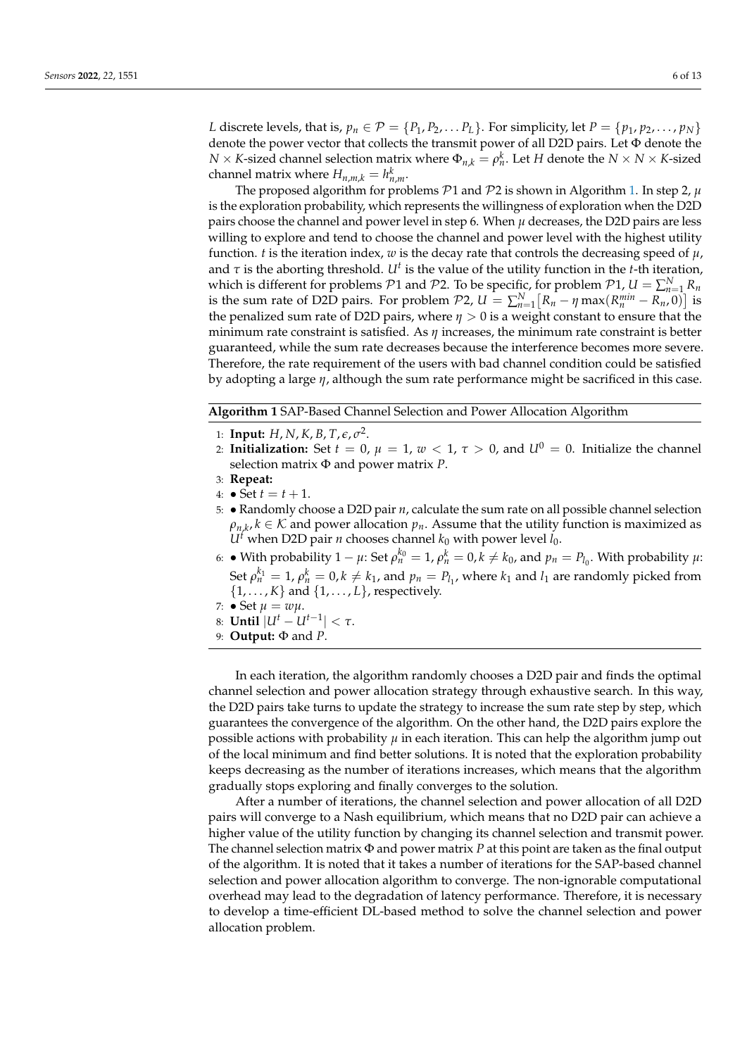*L* discrete levels, that is,  $p_n \in \mathcal{P} = \{P_1, P_2, \ldots, P_L\}$ . For simplicity, let  $P = \{p_1, p_2, \ldots, p_N\}$ denote the power vector that collects the transmit power of all D2D pairs. Let Φ denote the  $N \times K$ -sized channel selection matrix where  $\Phi_{n,k} = \rho_n^k$ . Let *H* denote the  $N \times N \times K$ -sized channel matrix where  $H_{n,m,k} = h_{n,m}^k$ .

The proposed algorithm for problems P1 and P2 is shown in Algorithm [1.](#page-5-0) In step 2, *µ* is the exploration probability, which represents the willingness of exploration when the D2D pairs choose the channel and power level in step 6. When *µ* decreases, the D2D pairs are less willing to explore and tend to choose the channel and power level with the highest utility function. *t* is the iteration index, *w* is the decay rate that controls the decreasing speed of  $\mu$ , and  $\tau$  is the aborting threshold.  $U^t$  is the value of the utility function in the *t*-th iteration, which is different for problems  $\mathcal{P}1$  and  $\mathcal{P}2$ . To be specific, for problem  $\mathcal{P}1$ ,  $U = \sum_{n=1}^{N} R_n$ is the sum rate of D2D pairs. For problem  $P2$ ,  $U = \sum_{n=1}^{N} [R_n - \eta \max(R_n^{min} - R_n, 0)]$  is the penalized sum rate of D2D pairs, where  $\eta > 0$  is a weight constant to ensure that the minimum rate constraint is satisfied. As *η* increases, the minimum rate constraint is better guaranteed, while the sum rate decreases because the interference becomes more severe. Therefore, the rate requirement of the users with bad channel condition could be satisfied by adopting a large *η*, although the sum rate performance might be sacrificed in this case.

<span id="page-5-0"></span>**Algorithm 1** SAP-Based Channel Selection and Power Allocation Algorithm

- 1: **Input:**  $H$ ,  $N$ ,  $K$ ,  $B$ ,  $T$ ,  $\varepsilon$ ,  $\sigma^2$ .
- 2: **Initialization:** Set  $t = 0$ ,  $\mu = 1$ ,  $\omega < 1$ ,  $\tau > 0$ , and  $U^0 = 0$ . Initialize the channel selection matrix Φ and power matrix *P*.
- 3: **Repeat:**
- 4:  $\bullet$  Set  $t = t + 1$ .
- 5: Randomly choose a D2D pair *n*, calculate the sum rate on all possible channel selection  $\rho_{n,k}$ ,  $k \in \mathcal{K}$  and power allocation  $p_n$ . Assume that the utility function is maximized as  $U^t$  when D2D pair *n* chooses channel  $k_0$  with power level  $l_0$ .
- 6: With probability  $1 \mu$ : Set  $\rho_n^{k_0} = 1$ ,  $\rho_n^k = 0$ ,  $k \neq k_0$ , and  $p_n = P_{l_0}$ . With probability  $\mu$ : Set  $\rho_n^{k_1} = 1$ ,  $\rho_n^k = 0$ ,  $k \neq k_1$ , and  $p_n = P_{l_1}$ , where  $k_1$  and  $l_1$  are randomly picked from  $\{1, \ldots, K\}$  and  $\{1, \ldots, L\}$ , respectively.
- 7:  $\bullet$  Set  $\mu = w\mu$ .
- 8: **Until** |*U<sup>t</sup>* − *Ut*−<sup>1</sup> | < *τ*.
- 9: **Output:** Φ and *P*.

In each iteration, the algorithm randomly chooses a D2D pair and finds the optimal channel selection and power allocation strategy through exhaustive search. In this way, the D2D pairs take turns to update the strategy to increase the sum rate step by step, which guarantees the convergence of the algorithm. On the other hand, the D2D pairs explore the possible actions with probability *µ* in each iteration. This can help the algorithm jump out of the local minimum and find better solutions. It is noted that the exploration probability keeps decreasing as the number of iterations increases, which means that the algorithm gradually stops exploring and finally converges to the solution.

After a number of iterations, the channel selection and power allocation of all D2D pairs will converge to a Nash equilibrium, which means that no D2D pair can achieve a higher value of the utility function by changing its channel selection and transmit power. The channel selection matrix Φ and power matrix *P* at this point are taken as the final output of the algorithm. It is noted that it takes a number of iterations for the SAP-based channel selection and power allocation algorithm to converge. The non-ignorable computational overhead may lead to the degradation of latency performance. Therefore, it is necessary to develop a time-efficient DL-based method to solve the channel selection and power allocation problem.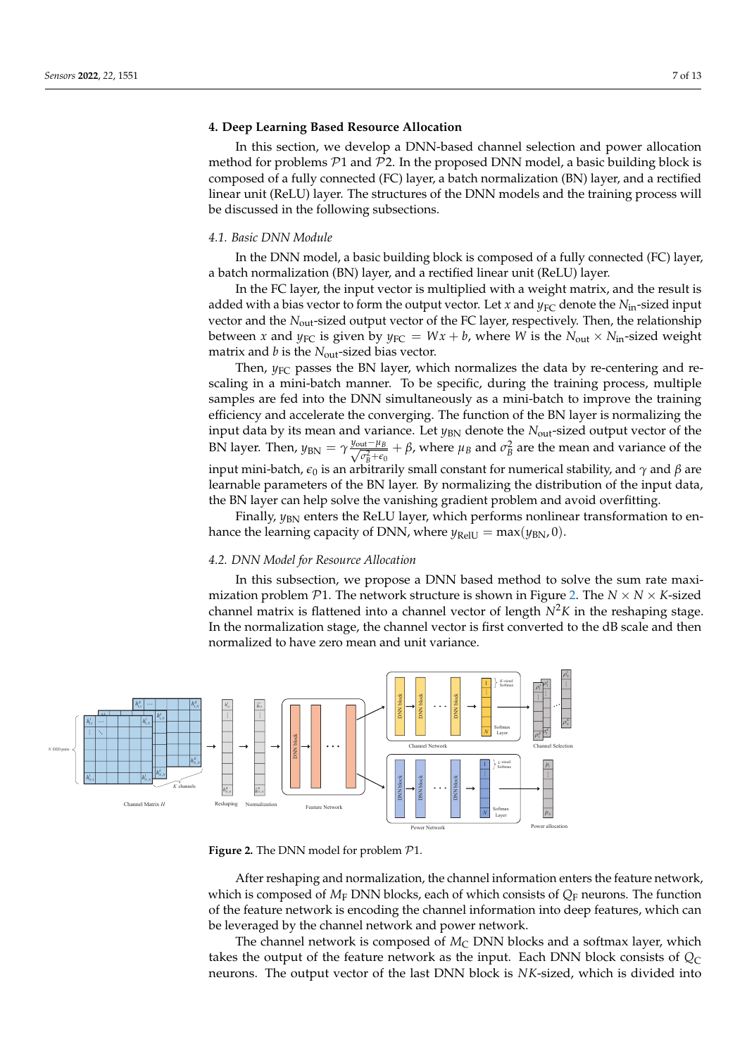#### <span id="page-6-0"></span>**4. Deep Learning Based Resource Allocation**

In this section, we develop a DNN-based channel selection and power allocation method for problems  $P1$  and  $P2$ . In the proposed DNN model, a basic building block is composed of a fully connected (FC) layer, a batch normalization (BN) layer, and a rectified linear unit (ReLU) layer. The structures of the DNN models and the training process will be discussed in the following subsections.

#### *4.1. Basic DNN Module*

In the DNN model, a basic building block is composed of a fully connected (FC) layer, a batch normalization (BN) layer, and a rectified linear unit (ReLU) layer.

In the FC layer, the input vector is multiplied with a weight matrix, and the result is added with a bias vector to form the output vector. Let *x* and  $y_{\text{FC}}$  denote the  $N_{\text{in}}$ -sized input vector and the *N*<sub>out</sub>-sized output vector of the FC layer, respectively. Then, the relationship between *x* and  $y_{FC}$  is given by  $y_{FC} = Wx + b$ , where *W* is the  $N_{out} \times N_{in}$ -sized weight matrix and *b* is the *N*<sub>out</sub>-sized bias vector.

Then,  $y_{FC}$  passes the BN layer, which normalizes the data by re-centering and rescaling in a mini-batch manner. To be specific, during the training process, multiple samples are fed into the DNN simultaneously as a mini-batch to improve the training efficiency and accelerate the converging. The function of the BN layer is normalizing the input data by its mean and variance. Let  $y_{BN}$  denote the *N*<sub>out</sub>-sized output vector of the  $\widehat{BN}$  layer. Then,  $y_{BN} = \gamma \frac{y_{out} - \mu_B}{\sqrt{\sigma^2 + \rho^2}}$  $\frac{u-\mu_B}{\sigma_B^2+\epsilon_0} + \beta$ , where  $\mu_B$  and  $\sigma_B^2$  are the mean and variance of the input mini-batch, *e*<sup>0</sup> is an arbitrarily small constant for numerical stability, and *γ* and *β* are learnable parameters of the BN layer. By normalizing the distribution of the input data, the BN layer can help solve the vanishing gradient problem and avoid overfitting.

Finally,  $y_{\text{BN}}$  enters the ReLU layer, which performs nonlinear transformation to enhance the learning capacity of DNN, where  $y_{\text{ReLU}} = \max(y_{\text{BN}}, 0)$ .

### *4.2. DNN Model for Resource Allocation*

<span id="page-6-1"></span>In this subsection, we propose a DNN based method to solve the sum rate maximization problem  $P1$ . The network structure is shown in Figure [2.](#page-6-1) The  $N \times N \times K$ -sized channel matrix is flattened into a channel vector of length  $N^2K$  in the reshaping stage. In the normalization stage, the channel vector is first converted to the dB scale and then normalized to have zero mean and unit variance.



**Figure 2.** The DNN model for problem  $P1$ .

After reshaping and normalization, the channel information enters the feature network, which is composed of  $M_F$  DNN blocks, each of which consists of  $Q_F$  neurons. The function of the feature network is encoding the channel information into deep features, which can be leveraged by the channel network and power network.

The channel network is composed of  $M_C$  DNN blocks and a softmax layer, which takes the output of the feature network as the input. Each DNN block consists of  $Q_C$ neurons. The output vector of the last DNN block is *NK*-sized, which is divided into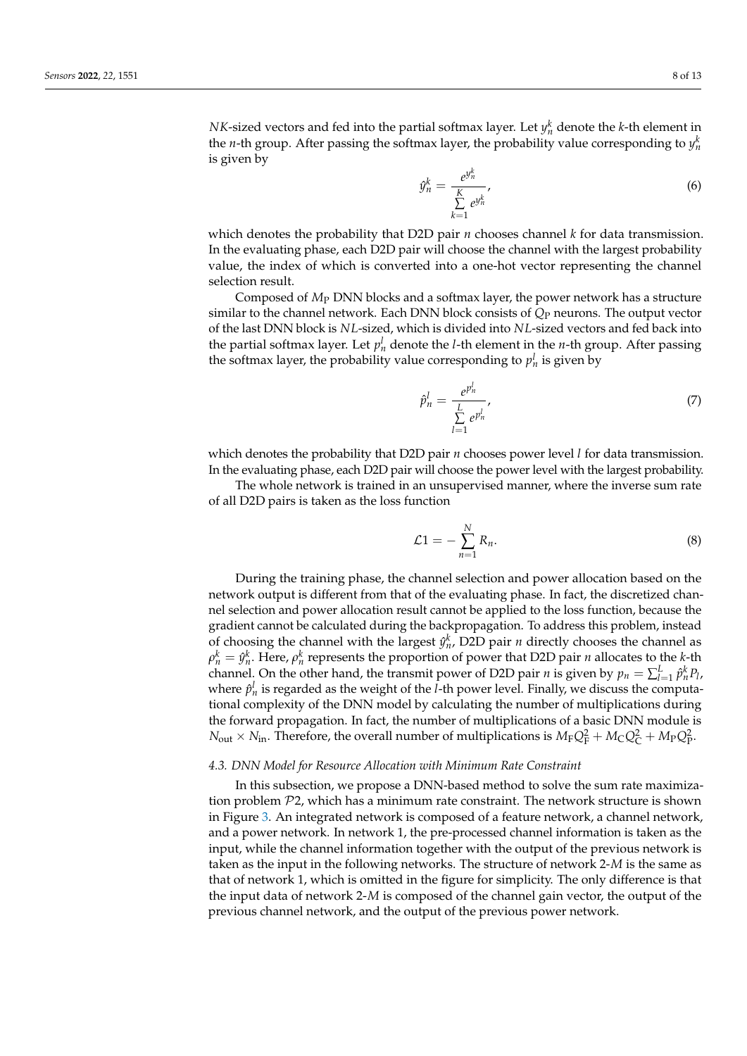$$
\hat{y}_n^k = \frac{e^{y_n^k}}{\sum\limits_{k=1}^K e^{y_n^k}},\tag{6}
$$

which denotes the probability that D2D pair *n* chooses channel *k* for data transmission. In the evaluating phase, each D2D pair will choose the channel with the largest probability value, the index of which is converted into a one-hot vector representing the channel selection result.

Composed of *M*<sup>P</sup> DNN blocks and a softmax layer, the power network has a structure similar to the channel network. Each DNN block consists of  $Q_P$  neurons. The output vector of the last DNN block is *NL*-sized, which is divided into *NL*-sized vectors and fed back into the partial softmax layer. Let  $p_n^l$  denote the *l*-th element in the *n*-th group. After passing the softmax layer, the probability value corresponding to  $p_n^l$  is given by

$$
\hat{p}_n^l = \frac{e^{p_n^l}}{\sum\limits_{l=1}^L e^{p_n^l}}\tag{7}
$$

which denotes the probability that D2D pair *n* chooses power level *l* for data transmission. In the evaluating phase, each D2D pair will choose the power level with the largest probability.

The whole network is trained in an unsupervised manner, where the inverse sum rate of all D2D pairs is taken as the loss function

$$
\mathcal{L}1 = -\sum_{n=1}^{N} R_n. \tag{8}
$$

During the training phase, the channel selection and power allocation based on the network output is different from that of the evaluating phase. In fact, the discretized channel selection and power allocation result cannot be applied to the loss function, because the gradient cannot be calculated during the backpropagation. To address this problem, instead of choosing the channel with the largest  $\hat{y}_n^k$ , D2D pair *n* directly chooses the channel as  $ρ<sup>k</sup><sub>n</sub> = υ<sup>k</sup><sub>n</sub>$ . Here,  $ρ<sup>k</sup><sub>n</sub>$  represents the proportion of power that D2D pair *n* allocates to the *k*-th channel. On the other hand, the transmit power of D2D pair *n* is given by  $p_n = \sum_{l=1}^{L} \hat{p}_n^k P_l$ , where  $\hat{p}_n^l$  is regarded as the weight of the *l*-th power level. Finally, we discuss the computational complexity of the DNN model by calculating the number of multiplications during the forward propagation. In fact, the number of multiplications of a basic DNN module is  $N_{\text{out}} \times N_{\text{in}}$ . Therefore, the overall number of multiplications is  $M_{\text{F}}Q_{\text{F}}^2 + M_{\text{C}}Q_{\text{C}}^2 + M_{\text{P}}Q_{\text{P}}^2$ .

#### *4.3. DNN Model for Resource Allocation with Minimum Rate Constraint*

In this subsection, we propose a DNN-based method to solve the sum rate maximization problem  $P2$ , which has a minimum rate constraint. The network structure is shown in Figure [3.](#page-8-1) An integrated network is composed of a feature network, a channel network, and a power network. In network 1, the pre-processed channel information is taken as the input, while the channel information together with the output of the previous network is taken as the input in the following networks. The structure of network 2-*M* is the same as that of network 1, which is omitted in the figure for simplicity. The only difference is that the input data of network 2-*M* is composed of the channel gain vector, the output of the previous channel network, and the output of the previous power network.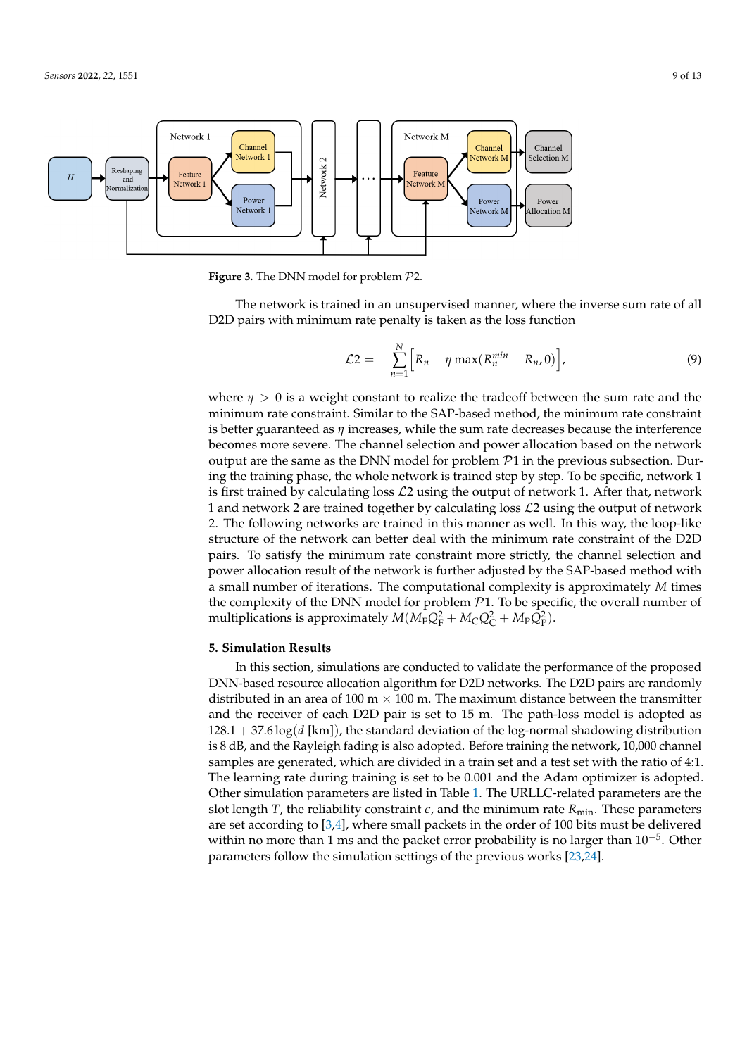

<span id="page-8-1"></span>**Figure 3.** The DNN model for problem P2.

The network is trained in an unsupervised manner, where the inverse sum rate of all D2D pairs with minimum rate penalty is taken as the loss function

$$
\mathcal{L}2 = -\sum_{n=1}^{N} \left[ R_n - \eta \max(R_n^{\min} - R_n, 0) \right],
$$
\n(9)

where  $\eta > 0$  is a weight constant to realize the tradeoff between the sum rate and the minimum rate constraint. Similar to the SAP-based method, the minimum rate constraint is better guaranteed as *η* increases, while the sum rate decreases because the interference becomes more severe. The channel selection and power allocation based on the network output are the same as the DNN model for problem  $\mathcal{P}1$  in the previous subsection. During the training phase, the whole network is trained step by step. To be specific, network 1 is first trained by calculating loss  $\mathcal{L}2$  using the output of network 1. After that, network 1 and network 2 are trained together by calculating loss  $\mathcal{L}2$  using the output of network 2. The following networks are trained in this manner as well. In this way, the loop-like structure of the network can better deal with the minimum rate constraint of the D2D pairs. To satisfy the minimum rate constraint more strictly, the channel selection and power allocation result of the network is further adjusted by the SAP-based method with a small number of iterations. The computational complexity is approximately *M* times the complexity of the DNN model for problem  $\mathcal{P}1$ . To be specific, the overall number of multiplications is approximately  $M(M_{\rm F}Q_{\rm F}^2 + M_{\rm C}Q_{\rm C}^2 + M_{\rm P}Q_{\rm P}^2)$ .

#### <span id="page-8-0"></span>**5. Simulation Results**

In this section, simulations are conducted to validate the performance of the proposed DNN-based resource allocation algorithm for D2D networks. The D2D pairs are randomly distributed in an area of 100 m  $\times$  100 m. The maximum distance between the transmitter and the receiver of each D2D pair is set to 15 m. The path-loss model is adopted as 128.1 + 37.6 log(*d* [km]), the standard deviation of the log-normal shadowing distribution is 8 dB, and the Rayleigh fading is also adopted. Before training the network, 10,000 channel samples are generated, which are divided in a train set and a test set with the ratio of 4:1. The learning rate during training is set to be 0.001 and the Adam optimizer is adopted. Other simulation parameters are listed in Table [1.](#page-9-0) The URLLC-related parameters are the slot length *T*, the reliability constraint  $\epsilon$ , and the minimum rate  $R_{\text{min}}$ . These parameters are set according to [\[3,](#page-11-2)[4\]](#page-11-3), where small packets in the order of 100 bits must be delivered within no more than 1 ms and the packet error probability is no larger than  $10^{-5}$ . Other parameters follow the simulation settings of the previous works [\[23](#page-12-17)[,24\]](#page-12-18).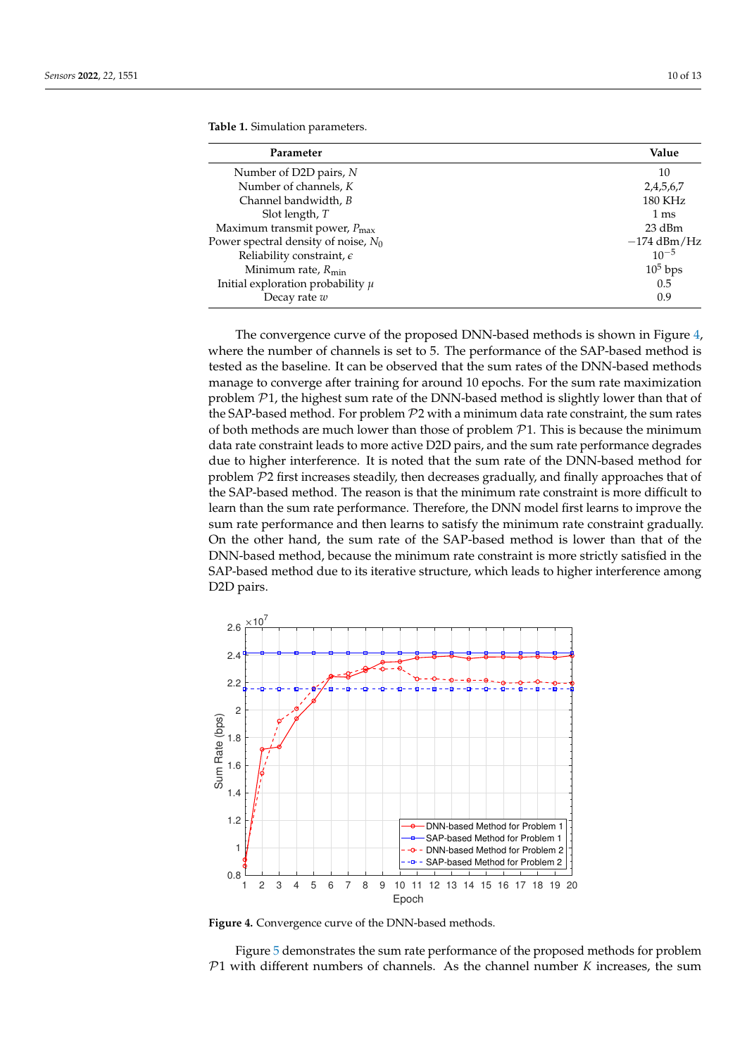<span id="page-9-0"></span>

|  |  |  |  |  | <b>Table 1.</b> Simulation parameters. |
|--|--|--|--|--|----------------------------------------|
|--|--|--|--|--|----------------------------------------|

| Parameter                                | Value          |
|------------------------------------------|----------------|
| Number of D2D pairs, N                   | 10             |
| Number of channels, K                    | 2,4,5,6,7      |
| Channel bandwidth, B                     | 180 KHz        |
| Slot length, $T$                         | $1 \text{ ms}$ |
| Maximum transmit power, $P_{\text{max}}$ | $23$ dBm       |
| Power spectral density of noise, $N_0$   | $-174$ dBm/Hz  |
| Reliability constraint, $\epsilon$       | $10^{-5}$      |
| Minimum rate, $R_{\text{min}}$           | $105$ bps      |
| Initial exploration probability $\mu$    | 0.5            |
| Decay rate $w$                           | 0.9            |

The convergence curve of the proposed DNN-based methods is shown in Figure [4,](#page-9-1) where the number of channels is set to 5. The performance of the SAP-based method is tested as the baseline. It can be observed that the sum rates of the DNN-based methods manage to converge after training for around 10 epochs. For the sum rate maximization problem P1, the highest sum rate of the DNN-based method is slightly lower than that of the SAP-based method. For problem  $P2$  with a minimum data rate constraint, the sum rates of both methods are much lower than those of problem  $P1$ . This is because the minimum data rate constraint leads to more active D2D pairs, and the sum rate performance degrades due to higher interference. It is noted that the sum rate of the DNN-based method for problem P2 first increases steadily, then decreases gradually, and finally approaches that of the SAP-based method. The reason is that the minimum rate constraint is more difficult to learn than the sum rate performance. Therefore, the DNN model first learns to improve the sum rate performance and then learns to satisfy the minimum rate constraint gradually. On the other hand, the sum rate of the SAP-based method is lower than that of the DNN-based method, because the minimum rate constraint is more strictly satisfied in the SAP-based method due to its iterative structure, which leads to higher interference among D2D pairs.

<span id="page-9-1"></span>

**Figure 4.** Convergence curve of the DNN-based methods.

Figure [5](#page-10-0) demonstrates the sum rate performance of the proposed methods for problem P1 with different numbers of channels. As the channel number *K* increases, the sum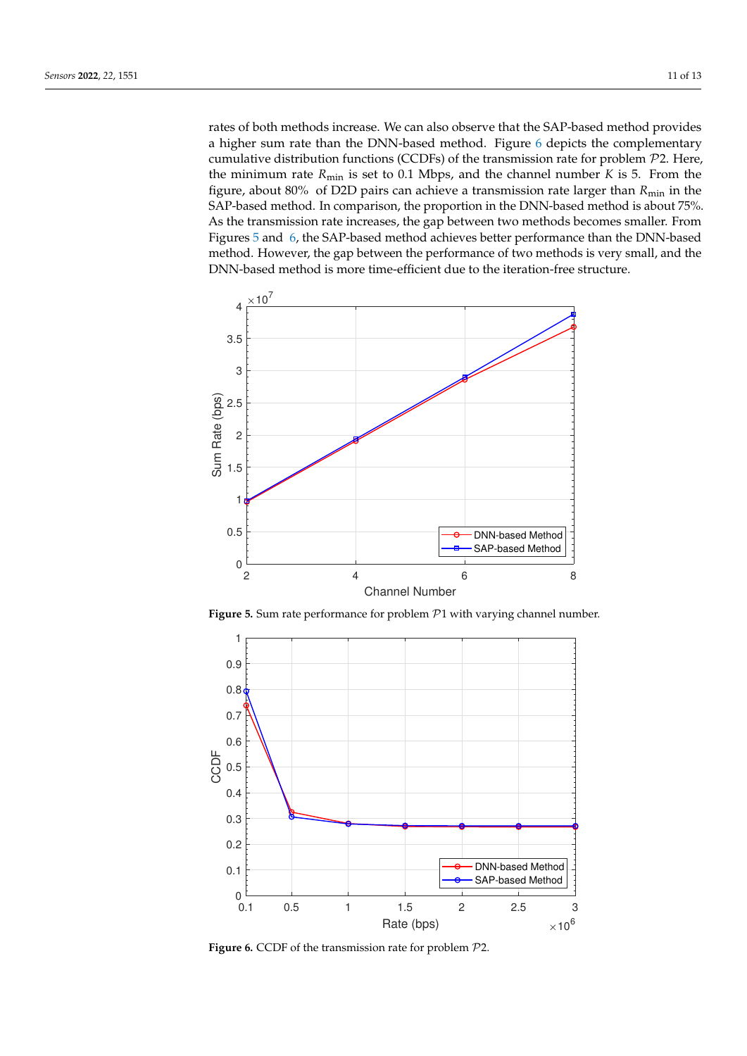rates of both methods increase. We can also observe that the SAP-based method provides a higher sum rate than the DNN-based method. Figure [6](#page-10-1) depicts the complementary cumulative distribution functions (CCDFs) of the transmission rate for problem  $P2$ . Here, the minimum rate  $R_{\text{min}}$  is set to 0.1 Mbps, and the channel number  $K$  is 5. From the figure, about 80% of D2D pairs can achieve a transmission rate larger than  $R_{\text{min}}$  in the SAP-based method. In comparison, the proportion in the DNN-based method is about 75%. As the transmission rate increases, the gap between two methods becomes smaller. From Figures [5](#page-10-0) and [6,](#page-10-1) the SAP-based method achieves better performance than the DNN-based method. However, the gap between the performance of two methods is very small, and the DNN-based method is more time-efficient due to the iteration-free structure.

<span id="page-10-0"></span>

Figure 5. Sum rate performance for problem  $P1$  with varying channel number.

<span id="page-10-1"></span>

**Figure 6.** CCDF of the transmission rate for problem P2.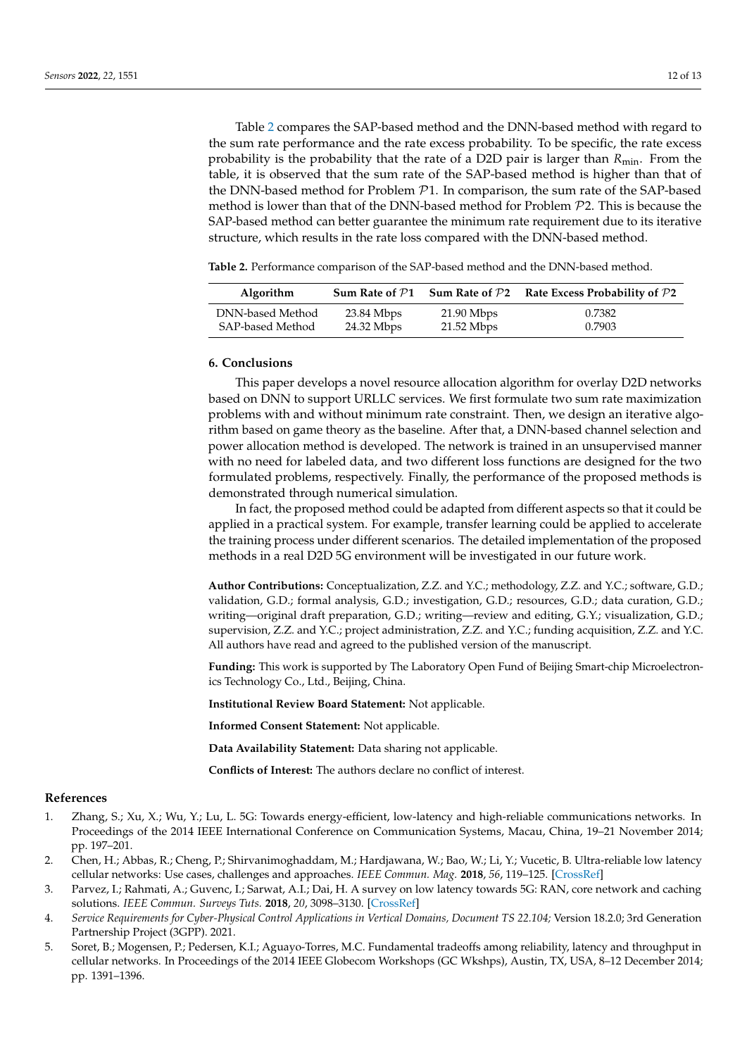Table [2](#page-11-6) compares the SAP-based method and the DNN-based method with regard to the sum rate performance and the rate excess probability. To be specific, the rate excess probability is the probability that the rate of a D2D pair is larger than *R*min. From the table, it is observed that the sum rate of the SAP-based method is higher than that of the DNN-based method for Problem P1. In comparison, the sum rate of the SAP-based method is lower than that of the DNN-based method for Problem P2. This is because the SAP-based method can better guarantee the minimum rate requirement due to its iterative structure, which results in the rate loss compared with the DNN-based method.

<span id="page-11-6"></span>**Table 2.** Performance comparison of the SAP-based method and the DNN-based method.

| <b>Algorithm</b> |            | Sum Rate of $P1$ Sum Rate of $P2$ | Rate Excess Probability of $P2$ |
|------------------|------------|-----------------------------------|---------------------------------|
| DNN-based Method | 23.84 Mbps | $21.90$ Mbps                      | 0.7382                          |
| SAP-based Method | 24.32 Mbps | $21.52$ Mbps                      | 0.7903                          |

#### <span id="page-11-5"></span>**6. Conclusions**

This paper develops a novel resource allocation algorithm for overlay D2D networks based on DNN to support URLLC services. We first formulate two sum rate maximization problems with and without minimum rate constraint. Then, we design an iterative algorithm based on game theory as the baseline. After that, a DNN-based channel selection and power allocation method is developed. The network is trained in an unsupervised manner with no need for labeled data, and two different loss functions are designed for the two formulated problems, respectively. Finally, the performance of the proposed methods is demonstrated through numerical simulation.

In fact, the proposed method could be adapted from different aspects so that it could be applied in a practical system. For example, transfer learning could be applied to accelerate the training process under different scenarios. The detailed implementation of the proposed methods in a real D2D 5G environment will be investigated in our future work.

**Author Contributions:** Conceptualization, Z.Z. and Y.C.; methodology, Z.Z. and Y.C.; software, G.D.; validation, G.D.; formal analysis, G.D.; investigation, G.D.; resources, G.D.; data curation, G.D.; writing—original draft preparation, G.D.; writing—review and editing, G.Y.; visualization, G.D.; supervision, Z.Z. and Y.C.; project administration, Z.Z. and Y.C.; funding acquisition, Z.Z. and Y.C. All authors have read and agreed to the published version of the manuscript.

**Funding:** This work is supported by The Laboratory Open Fund of Beijing Smart-chip Microelectronics Technology Co., Ltd., Beijing, China.

**Institutional Review Board Statement:** Not applicable.

**Informed Consent Statement:** Not applicable.

**Data Availability Statement:** Data sharing not applicable.

**Conflicts of Interest:** The authors declare no conflict of interest.

#### **References**

- <span id="page-11-0"></span>1. Zhang, S.; Xu, X.; Wu, Y.; Lu, L. 5G: Towards energy-efficient, low-latency and high-reliable communications networks. In Proceedings of the 2014 IEEE International Conference on Communication Systems, Macau, China, 19–21 November 2014; pp. 197–201.
- <span id="page-11-1"></span>2. Chen, H.; Abbas, R.; Cheng, P.; Shirvanimoghaddam, M.; Hardjawana, W.; Bao, W.; Li, Y.; Vucetic, B. Ultra-reliable low latency cellular networks: Use cases, challenges and approaches. *IEEE Commun. Mag.* **2018**, *56*, 119–125. [\[CrossRef\]](http://doi.org/10.1109/MCOM.2018.1701178)
- <span id="page-11-2"></span>3. Parvez, I.; Rahmati, A.; Guvenc, I.; Sarwat, A.I.; Dai, H. A survey on low latency towards 5G: RAN, core network and caching solutions. *IEEE Commun. Surveys Tuts.* **2018**, *20*, 3098–3130. [\[CrossRef\]](http://dx.doi.org/10.1109/COMST.2018.2841349)
- <span id="page-11-3"></span>4. *Service Requirements for Cyber-Physical Control Applications in Vertical Domains, Document TS 22.104;* Version 18.2.0; 3rd Generation Partnership Project (3GPP). 2021.
- <span id="page-11-4"></span>5. Soret, B.; Mogensen, P.; Pedersen, K.I.; Aguayo-Torres, M.C. Fundamental tradeoffs among reliability, latency and throughput in cellular networks. In Proceedings of the 2014 IEEE Globecom Workshops (GC Wkshps), Austin, TX, USA, 8–12 December 2014; pp. 1391–1396.